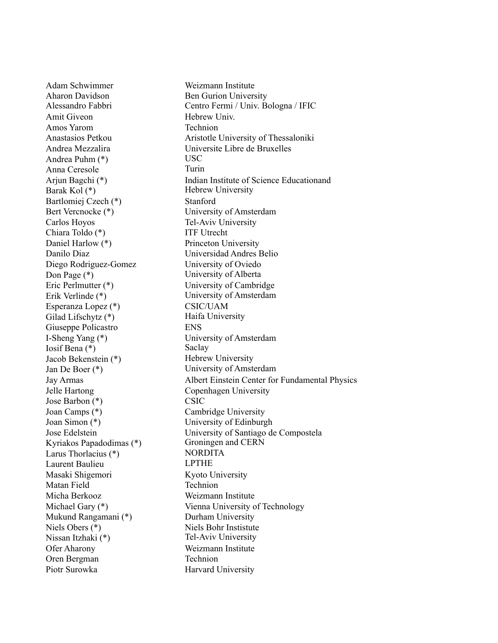Adam Schwimmer Weizmann Institute Aharon Davidson Ben Gurion University Amit Giveon Hebrew Univ. Amos Yarom Technion Andrea Puhm (\*) USC Anna Ceresole Turin Barak Kol (\*) Hebrew University Bartlomiej Czech (\*) Stanford Bert Vercnocke (\*) University of Amsterdam Carlos Hoyos Tel-Aviv University Chiara Toldo (\*) ITF Utrecht Daniel Harlow (\*) Princeton University Danilo Diaz Universidad Andres Belio Diego Rodriguez-Gomez University of Oviedo Don Page (\*) University of Alberta<br>Eric Perlmutter (\*) University of Cambrie Erik Verlinde (\*) University of Amsterdam Esperanza Lopez (\*) CSIC/UAM Gilad Lifschytz (\*) Haifa University Giuseppe Policastro ENS I-Sheng Yang (\*) University of Amsterdam Iosif Bena (\*)<br>Iacob Bekenstein (\*) Saclay<br>Hebrew University Jacob Bekenstein (\*) Jan De Boer (\*) University of Amsterdam Jelle Hartong Copenhagen University Jose Barbon (\*) CSIC Joan Camps (\*) Cambridge University Joan Simon (\*) University of Edinburgh Kyriakos Papadodimas (\*) Larus Thorlacius (\*) NORDITA Laurent Baulieu LPTHE Masaki Shigemori Kyoto University Matan Field Technion Micha Berkooz Weizmann Institute Mukund Rangamani (\*) Durham University Niels Obers (\*) Niels Bohr Instistute Nissan Itzhaki (\*) Tel-Aviv University Ofer Aharony Weizmann Institute Oren Bergman Technion Piotr Surowka Harvard University

Alessandro Fabbri Centro Fermi / Univ. Bologna / IFIC Anastasios Petkou Aristotle University of Thessaloniki Andrea Mezzalira Universite Libre de Bruxelles Arjun Bagchi (\*) Indian Institute of Science Educationand University of Cambridge Jay Armas Albert Einstein Center for Fundamental Physics Jose Edelstein University of Santiago de Compostela<br>Kyriakos Panadodimas (\*) Groningen and CERN Michael Gary (\*) Vienna University of Technology